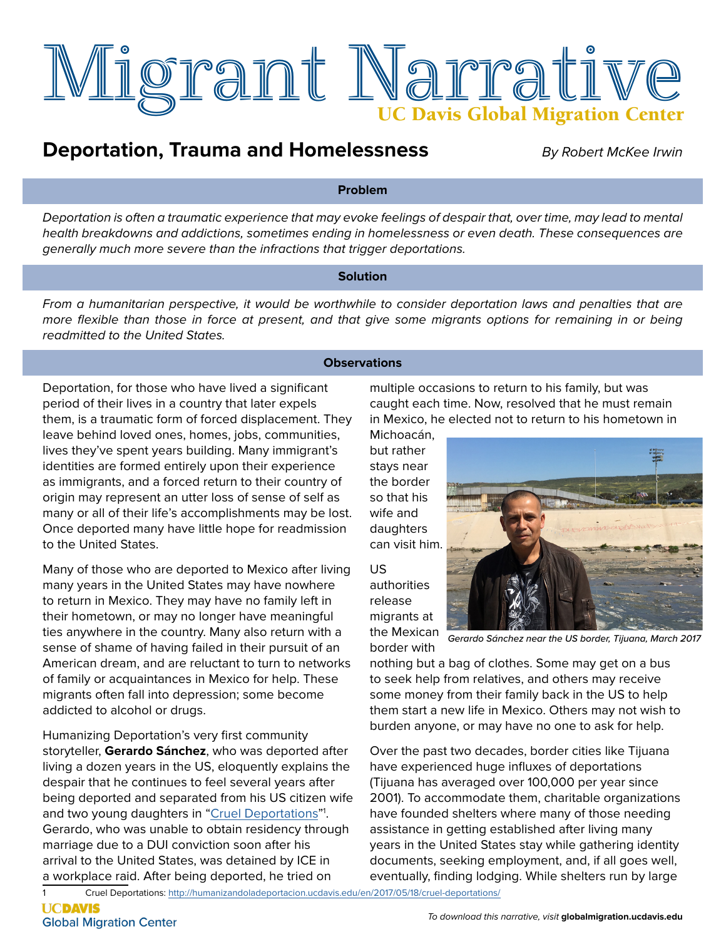

## **Deportation, Trauma and Homelessness**

*By Robert McKee Irwin*

#### **Problem**

*Deportation is often a traumatic experience that may evoke feelings of despair that, over time, may lead to mental health breakdowns and addictions, sometimes ending in homelessness or even death. These consequences are generally much more severe than the infractions that trigger deportations.* 

### **Solution**

*From a humanitarian perspective, it would be worthwhile to consider deportation laws and penalties that are more flexible than those in force at present, and that give some migrants options for remaining in or being readmitted to the United States.*

#### **Observations**

Deportation, for those who have lived a significant period of their lives in a country that later expels them, is a traumatic form of forced displacement. They leave behind loved ones, homes, jobs, communities, lives they've spent years building. Many immigrant's identities are formed entirely upon their experience as immigrants, and a forced return to their country of origin may represent an utter loss of sense of self as many or all of their life's accomplishments may be lost. Once deported many have little hope for readmission to the United States.

Many of those who are deported to Mexico after living many years in the United States may have nowhere to return in Mexico. They may have no family left in their hometown, or may no longer have meaningful ties anywhere in the country. Many also return with a sense of shame of having failed in their pursuit of an American dream, and are reluctant to turn to networks of family or acquaintances in Mexico for help. These migrants often fall into depression; some become addicted to alcohol or drugs.

Humanizing Deportation's very first community storyteller, **Gerardo Sánchez**, who was deported after living a dozen years in the US, eloquently explains the despair that he continues to feel several years after being deported and separated from his US citizen wife and two young daughters in "[Cruel Deportations](http://humanizandoladeportacion.ucdavis.edu/en/2017/05/18/cruel-deportations/)"1. Gerardo, who was unable to obtain residency through marriage due to a DUI conviction soon after his arrival to the United States, was detained by ICE in a workplace raid. After being deported, he tried on

multiple occasions to return to his family, but was caught each time. Now, resolved that he must remain in Mexico, he elected not to return to his hometown in

Michoacán, but rather stays near the border so that his wife and daughters can visit him.

US authorities release migrants at the Mexican

border with



*Gerardo Sánchez near the US border, Tijuana, March 2017*

nothing but a bag of clothes. Some may get on a bus to seek help from relatives, and others may receive some money from their family back in the US to help them start a new life in Mexico. Others may not wish to burden anyone, or may have no one to ask for help.

Over the past two decades, border cities like Tijuana have experienced huge influxes of deportations (Tijuana has averaged over 100,000 per year since 2001). To accommodate them, charitable organizations have founded shelters where many of those needing assistance in getting established after living many years in the United States stay while gathering identity documents, seeking employment, and, if all goes well, eventually, finding lodging. While shelters run by large

Cruel Deportations:<http://humanizandoladeportacion.ucdavis.edu/en/2017/05/18/cruel-deportations/>